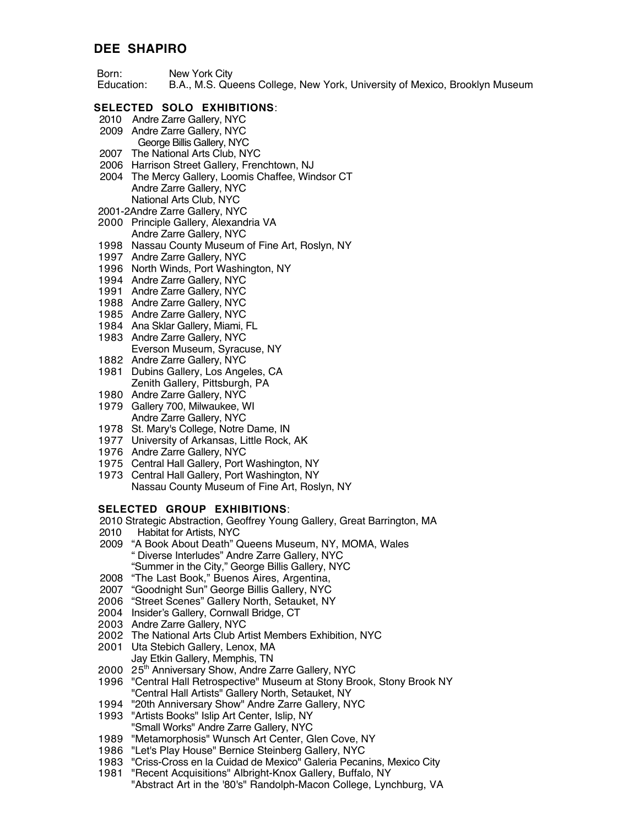## **DEE SHAPIRO**

- Born: New York City
- Education: B.A., M.S. Queens College, New York, University of Mexico, Brooklyn Museum

## **SELECTED SOLO EXHIBITIONS**:

- 2010 Andre Zarre Gallery, NYC
- 2009 Andre Zarre Gallery, NYC
	- George Billis Gallery, NYC
- 2007 The National Arts Club, NYC
- 2006 Harrison Street Gallery, Frenchtown, NJ
- 2004 The Mercy Gallery, Loomis Chaffee, Windsor CT Andre Zarre Gallery, NYC National Arts Club, NYC
- 2001-2Andre Zarre Gallery, NYC
- 2000 Principle Gallery, Alexandria VA Andre Zarre Gallery, NYC
- 1998 Nassau County Museum of Fine Art, Roslyn, NY
- 1997 Andre Zarre Gallery, NYC
- 1996 North Winds, Port Washington, NY
- 1994 Andre Zarre Gallery, NYC
- 1991 Andre Zarre Gallery, NYC
- 1988 Andre Zarre Gallery, NYC
- 1985 Andre Zarre Gallery, NYC
- 1984 Ana Sklar Gallery, Miami, FL
- 1983 Andre Zarre Gallery, NYC Everson Museum, Syracuse, NY
- 1882 Andre Zarre Gallery, NYC
- 1981 Dubins Gallery, Los Angeles, CA Zenith Gallery, Pittsburgh, PA
- 1980 Andre Zarre Gallery, NYC
- 1979 Gallery 700, Milwaukee, WI Andre Zarre Gallery, NYC
- 1978 St. Mary's College, Notre Dame, IN
- 1977 University of Arkansas, Little Rock, AK
- 1976 Andre Zarre Gallery, NYC
- 1975 Central Hall Gallery, Port Washington, NY
- 1973 Central Hall Gallery, Port Washington, NY Nassau County Museum of Fine Art, Roslyn, NY

#### **SELECTED GROUP EXHIBITIONS**:

- 2010 Strategic Abstraction, Geoffrey Young Gallery, Great Barrington, MA
- 2010 Habitat for Artists, NYC
- 2009 "A Book About Death" Queens Museum, NY, MOMA, Wales " Diverse Interludes" Andre Zarre Gallery, NYC "Summer in the City," George Billis Gallery, NYC
- 2008 "The Last Book," Buenos Aires, Argentina,
- 2007 "Goodnight Sun" George Billis Gallery, NYC
- 2006 "Street Scenes" Gallery North, Setauket, NY
- 2004 Insider's Gallery, Cornwall Bridge, CT
- 2003 Andre Zarre Gallery, NYC
- 2002 The National Arts Club Artist Members Exhibition, NYC
- 2001 Uta Stebich Gallery, Lenox, MA
	- Jay Etkin Gallery, Memphis, TN
- 2000 25<sup>th</sup> Anniversary Show, Andre Zarre Gallery, NYC
- 1996 "Central Hall Retrospective" Museum at Stony Brook, Stony Brook NY "Central Hall Artists" Gallery North, Setauket, NY
- 1994 "20th Anniversary Show" Andre Zarre Gallery, NYC
- 1993 "Artists Books" Islip Art Center, Islip, NY "Small Works" Andre Zarre Gallery, NYC
- 1989 "Metamorphosis" Wunsch Art Center, Glen Cove, NY
- 1986 "Let's Play House" Bernice Steinberg Gallery, NYC
- 1983 "Criss-Cross en la Cuidad de Mexico" Galeria Pecanins, Mexico City
- 1981 "Recent Acquisitions" Albright-Knox Gallery, Buffalo, NY "Abstract Art in the '80's" Randolph-Macon College, Lynchburg, VA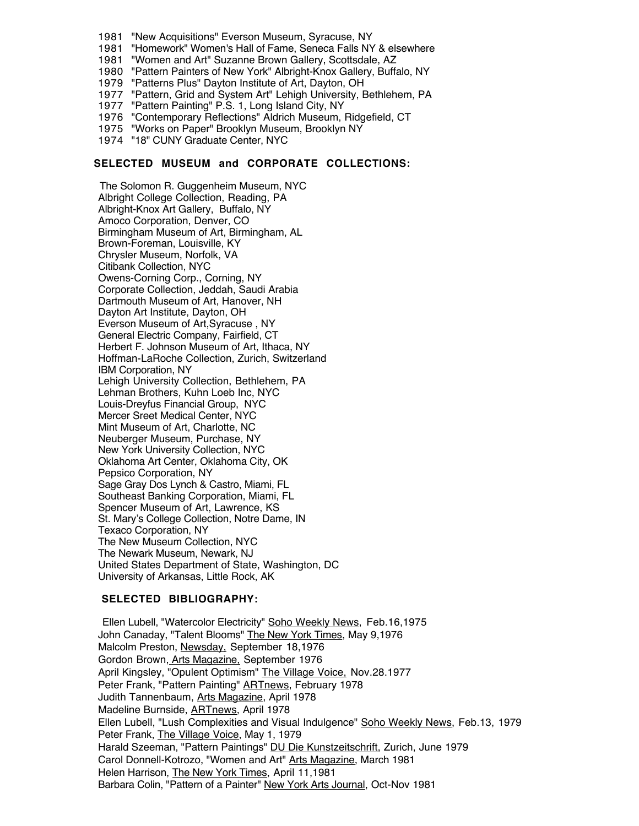- 1981 "New Acquisitions" Everson Museum, Syracuse, NY
- 1981 "Homework" Women's Hall of Fame, Seneca Falls NY & elsewhere
- 1981 "Women and Art" Suzanne Brown Gallery, Scottsdale, AZ
- 1980 "Pattern Painters of New York" Albright-Knox Gallery, Buffalo, NY
- 1979 "Patterns Plus" Dayton Institute of Art, Dayton, OH
- 1977 "Pattern, Grid and System Art" Lehigh University, Bethlehem, PA
- 1977 "Pattern Painting" P.S. 1, Long Island City, NY
- 1976 "Contemporary Reflections" Aldrich Museum, Ridgefield, CT
- 1975 "Works on Paper" Brooklyn Museum, Brooklyn NY
- 1974 "18" CUNY Graduate Center, NYC

## **SELECTED MUSEUM and CORPORATE COLLECTIONS:**

 The Solomon R. Guggenheim Museum, NYC Albright College Collection, Reading, PA Albright-Knox Art Gallery, Buffalo, NY Amoco Corporation, Denver, CO Birmingham Museum of Art, Birmingham, AL Brown-Foreman, Louisville, KY Chrysler Museum, Norfolk, VA Citibank Collection, NYC Owens-Corning Corp., Corning, NY Corporate Collection, Jeddah, Saudi Arabia Dartmouth Museum of Art, Hanover, NH Dayton Art Institute, Dayton, OH Everson Museum of Art,Syracuse , NY General Electric Company, Fairfield, CT Herbert F. Johnson Museum of Art, Ithaca, NY Hoffman-LaRoche Collection, Zurich, Switzerland IBM Corporation, NY Lehigh University Collection, Bethlehem, PA Lehman Brothers, Kuhn Loeb Inc, NYC Louis-Dreyfus Financial Group, NYC Mercer Sreet Medical Center, NYC Mint Museum of Art, Charlotte, NC Neuberger Museum, Purchase, NY New York University Collection, NYC Oklahoma Art Center, Oklahoma City, OK Pepsico Corporation, NY Sage Gray Dos Lynch & Castro, Miami, FL Southeast Banking Corporation, Miami, FL Spencer Museum of Art, Lawrence, KS St. Mary's College Collection, Notre Dame, IN Texaco Corporation, NY The New Museum Collection, NYC The Newark Museum, Newark, NJ United States Department of State, Washington, DC University of Arkansas, Little Rock, AK

#### **SELECTED BIBLIOGRAPHY:**

Ellen Lubell, "Watercolor Electricity" Soho Weekly News, Feb.16,1975 John Canaday, "Talent Blooms" The New York Times, May 9,1976 Malcolm Preston, Newsday, September 18,1976 Gordon Brown, Arts Magazine, September 1976 April Kingsley, "Opulent Optimism" The Village Voice, Nov.28.1977 Peter Frank, "Pattern Painting" ARTnews, February 1978 Judith Tannenbaum, Arts Magazine, April 1978 Madeline Burnside, ARTnews, April 1978 Ellen Lubell, "Lush Complexities and Visual Indulgence" Soho Weekly News, Feb.13, 1979 Peter Frank, The Village Voice, May 1, 1979 Harald Szeeman, "Pattern Paintings" DU Die Kunstzeitschrift, Zurich, June 1979 Carol Donnell-Kotrozo, "Women and Art" Arts Magazine, March 1981 Helen Harrison, The New York Times, April 11,1981 Barbara Colin, "Pattern of a Painter" New York Arts Journal, Oct-Nov 1981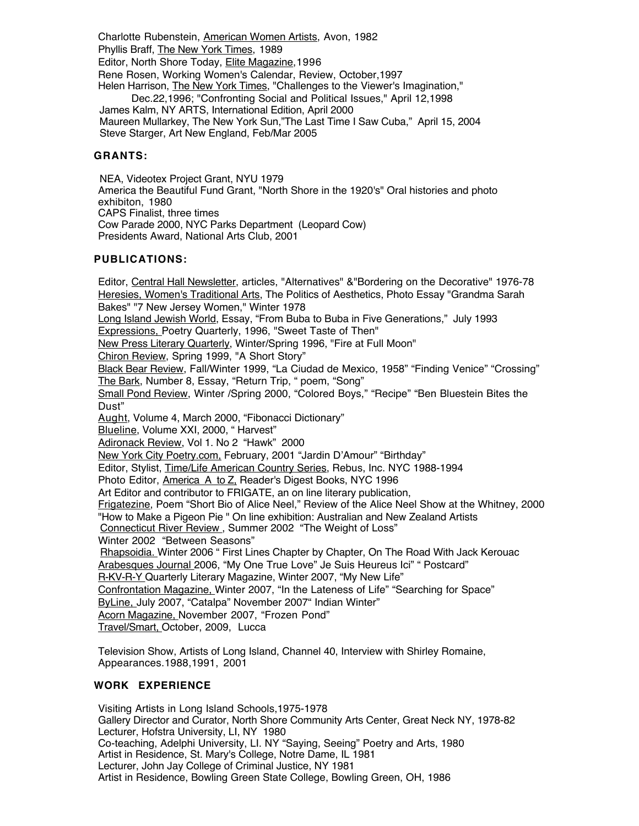Charlotte Rubenstein, American Women Artists, Avon, 1982 Phyllis Braff, The New York Times, 1989 Editor, North Shore Today, Elite Magazine, 1996 Rene Rosen, Working Women's Calendar, Review, October,1997 Helen Harrison, The New York Times, "Challenges to the Viewer's Imagination," Dec.22,1996; "Confronting Social and Political Issues," April 12,1998 James Kalm, NY ARTS, International Edition, April 2000 Maureen Mullarkey, The New York Sun,"The Last Time I Saw Cuba," April 15, 2004 Steve Starger, Art New England, Feb/Mar 2005

## **GRANTS:**

 NEA, Videotex Project Grant, NYU 1979 America the Beautiful Fund Grant, "North Shore in the 1920's" Oral histories and photo exhibiton, 1980 CAPS Finalist, three times Cow Parade 2000, NYC Parks Department (Leopard Cow) Presidents Award, National Arts Club, 2001

## **PUBLICATIONS:**

Editor, Central Hall Newsletter, articles, "Alternatives" & "Bordering on the Decorative" 1976-78 Heresies, Women's Traditional Arts, The Politics of Aesthetics, Photo Essay "Grandma Sarah Bakes" "7 New Jersey Women," Winter 1978 Long Island Jewish World, Essay, "From Buba to Buba in Five Generations," July 1993 Expressions, Poetry Quarterly, 1996, "Sweet Taste of Then" New Press Literary Quarterly , Winter/Spring 1996, "Fire at Full Moon" Chiron Review, Spring 1999, "A Short Story" Black Bear Review , Fall/Winter 1999, "La Ciudad de Mexico, 1958" "Finding Venice" "Crossing" The Bark, Number 8, Essay, "Return Trip, " poem, "Song" Small Pond Review, Winter /Spring 2000, "Colored Boys," "Recipe" "Ben Bluestein Bites the Dust" Aught, Volume 4, March 2000, "Fibonacci Dictionary" Blueline, Volume XXI, 2000, "Harvest" Adironack Review, Vol 1. No 2 "Hawk" 2000 New York City Poetry.com, February, 2001 "Jardin D'Amour" "Birthday" Editor, Stylist, *Time/Life American Country Series*, Rebus, Inc. NYC 1988-1994 Photo Editor, America A to Z. Reader's Digest Books, NYC 1996 Art Editor and contributor to FRIGATE, an on line literary publication, Frigatezine, Poem "Short Bio of Alice Neel," Review of the Alice Neel Show at the Whitney, 2000 "How to Make a Pigeon Pie " On line exhibition: Australian and New Zealand Artists Connecticut River Review , Summer 2002 "The Weight of Loss" Winter 2002 "Between Seasons" Rhapsoidia. Winter 2006 " First Lines Chapter by Chapter, On The Road With Jack Kerouac Arabesques Journal 2006, "My One True Love" Je Suis Heureus Ici" " Postcard" R-KV-R-Y Quarterly Literary Magazine, Winter 2007, "My New Life" Confrontation Magazine, Winter 2007, "In the Lateness of Life" "Searching for Space" ByLine, July 2007, "Catalpa" November 2007" Indian Winter" Acorn Magazine, November 2007, "Frozen Pond" Travel/Smart, October, 2009, Lucca

Television Show, Artists of Long Island, Channel 40, Interview with Shirley Romaine, Appearances.1988,1991, 2001

## **WORK EXPERIENCE**

Visiting Artists in Long Island Schools,1975-1978 Gallery Director and Curator, North Shore Community Arts Center, Great Neck NY, 1978-82 Lecturer, Hofstra University, LI, NY 1980 Co-teaching, Adelphi University, LI. NY "Saying, Seeing" Poetry and Arts, 1980 Artist in Residence, St. Mary's College, Notre Dame, IL 1981 Lecturer, John Jay College of Criminal Justice, NY 1981 Artist in Residence, Bowling Green State College, Bowling Green, OH, 1986